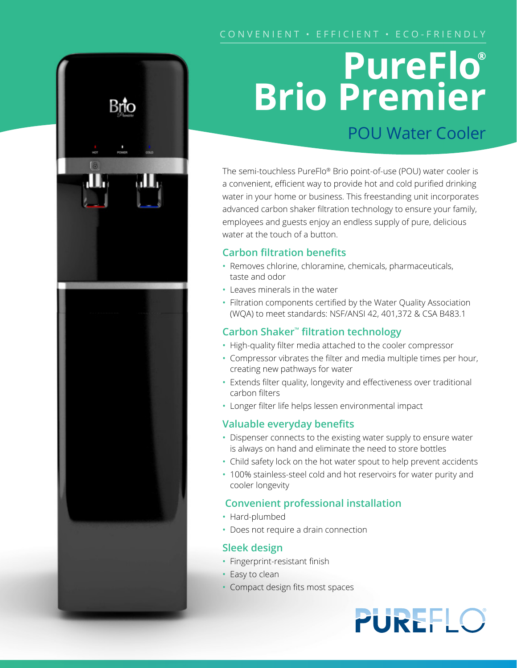## **PureFlo® Brio Premier** POU Water Cooler

The semi-touchless PureFlo® Brio point-of-use (POU) water cooler is a convenient, efficient way to provide hot and cold purified drinking water in your home or business. This freestanding unit incorporates advanced carbon shaker filtration technology to ensure your family, employees and guests enjoy an endless supply of pure, delicious water at the touch of a button.

#### **Carbon filtration benefits**

- Removes chlorine, chloramine, chemicals, pharmaceuticals, taste and odor
- Leaves minerals in the water
- Filtration components certified by the Water Quality Association (WQA) to meet standards: NSF/ANSI 42, 401,372 & CSA B483.1

### **Carbon Shaker™ filtration technology**

- High-quality filter media attached to the cooler compressor
- Compressor vibrates the filter and media multiple times per hour, creating new pathways for water
- Extends filter quality, longevity and effectiveness over traditional carbon filters
- Longer filter life helps lessen environmental impact

#### **Valuable everyday benefits**

- Dispenser connects to the existing water supply to ensure water is always on hand and eliminate the need to store bottles
- Child safety lock on the hot water spout to help prevent accidents
- 100% stainless-steel cold and hot reservoirs for water purity and cooler longevity

#### **Convenient professional installation**

- Hard-plumbed
- Does not require a drain connection

#### **Sleek design**

- Fingerprint-resistant finish
- Easy to clean
- Compact design fits most spaces